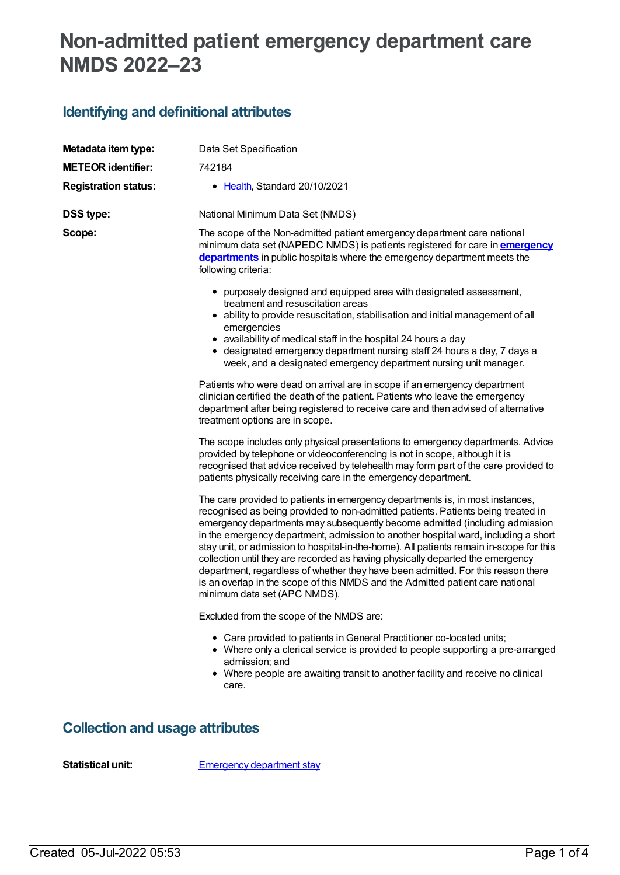# **Non-admitted patient emergency department care NMDS 2022–23**

## **Identifying and definitional attributes**

| Metadata item type:         | Data Set Specification                                                                                                                                                                                                                                                                                                                                                                                                                                                                                                                                                                                                                                                                                                                                                                                                                                                                                                                                                                                                                                                                                                                                                                                                                                                                                                                                                                                                                                                                                                                                                                                                                                                                                                                                                                                                                                                                                                                                                                                                                                                                            |
|-----------------------------|---------------------------------------------------------------------------------------------------------------------------------------------------------------------------------------------------------------------------------------------------------------------------------------------------------------------------------------------------------------------------------------------------------------------------------------------------------------------------------------------------------------------------------------------------------------------------------------------------------------------------------------------------------------------------------------------------------------------------------------------------------------------------------------------------------------------------------------------------------------------------------------------------------------------------------------------------------------------------------------------------------------------------------------------------------------------------------------------------------------------------------------------------------------------------------------------------------------------------------------------------------------------------------------------------------------------------------------------------------------------------------------------------------------------------------------------------------------------------------------------------------------------------------------------------------------------------------------------------------------------------------------------------------------------------------------------------------------------------------------------------------------------------------------------------------------------------------------------------------------------------------------------------------------------------------------------------------------------------------------------------------------------------------------------------------------------------------------------------|
| <b>METEOR identifier:</b>   | 742184                                                                                                                                                                                                                                                                                                                                                                                                                                                                                                                                                                                                                                                                                                                                                                                                                                                                                                                                                                                                                                                                                                                                                                                                                                                                                                                                                                                                                                                                                                                                                                                                                                                                                                                                                                                                                                                                                                                                                                                                                                                                                            |
| <b>Registration status:</b> | • Health, Standard 20/10/2021                                                                                                                                                                                                                                                                                                                                                                                                                                                                                                                                                                                                                                                                                                                                                                                                                                                                                                                                                                                                                                                                                                                                                                                                                                                                                                                                                                                                                                                                                                                                                                                                                                                                                                                                                                                                                                                                                                                                                                                                                                                                     |
| <b>DSS type:</b>            | National Minimum Data Set (NMDS)                                                                                                                                                                                                                                                                                                                                                                                                                                                                                                                                                                                                                                                                                                                                                                                                                                                                                                                                                                                                                                                                                                                                                                                                                                                                                                                                                                                                                                                                                                                                                                                                                                                                                                                                                                                                                                                                                                                                                                                                                                                                  |
| Scope:                      | The scope of the Non-admitted patient emergency department care national<br>minimum data set (NAPEDC NMDS) is patients registered for care in <b>emergency</b><br>departments in public hospitals where the emergency department meets the<br>following criteria:                                                                                                                                                                                                                                                                                                                                                                                                                                                                                                                                                                                                                                                                                                                                                                                                                                                                                                                                                                                                                                                                                                                                                                                                                                                                                                                                                                                                                                                                                                                                                                                                                                                                                                                                                                                                                                 |
|                             | • purposely designed and equipped area with designated assessment,<br>treatment and resuscitation areas<br>• ability to provide resuscitation, stabilisation and initial management of all<br>emergencies<br>• availability of medical staff in the hospital 24 hours a day<br>• designated emergency department nursing staff 24 hours a day, 7 days a<br>week, and a designated emergency department nursing unit manager.<br>Patients who were dead on arrival are in scope if an emergency department<br>clinician certified the death of the patient. Patients who leave the emergency<br>department after being registered to receive care and then advised of alternative<br>treatment options are in scope.<br>The scope includes only physical presentations to emergency departments. Advice<br>provided by telephone or videoconferencing is not in scope, although it is<br>recognised that advice received by telehealth may form part of the care provided to<br>patients physically receiving care in the emergency department.<br>The care provided to patients in emergency departments is, in most instances,<br>recognised as being provided to non-admitted patients. Patients being treated in<br>emergency departments may subsequently become admitted (including admission<br>in the emergency department, admission to another hospital ward, including a short<br>stay unit, or admission to hospital-in-the-home). All patients remain in-scope for this<br>collection until they are recorded as having physically departed the emergency<br>department, regardless of whether they have been admitted. For this reason there<br>is an overlap in the scope of this NMDS and the Admitted patient care national<br>minimum data set (APC NMDS).<br>Excluded from the scope of the NMDS are:<br>• Care provided to patients in General Practitioner co-located units;<br>• Where only a clerical service is provided to people supporting a pre-arranged<br>admission; and<br>• Where people are awaiting transit to another facility and receive no clinical<br>care. |
|                             |                                                                                                                                                                                                                                                                                                                                                                                                                                                                                                                                                                                                                                                                                                                                                                                                                                                                                                                                                                                                                                                                                                                                                                                                                                                                                                                                                                                                                                                                                                                                                                                                                                                                                                                                                                                                                                                                                                                                                                                                                                                                                                   |

## **Collection and usage attributes**

**Statistical unit:** [Emergency](file:///content/472757) department stay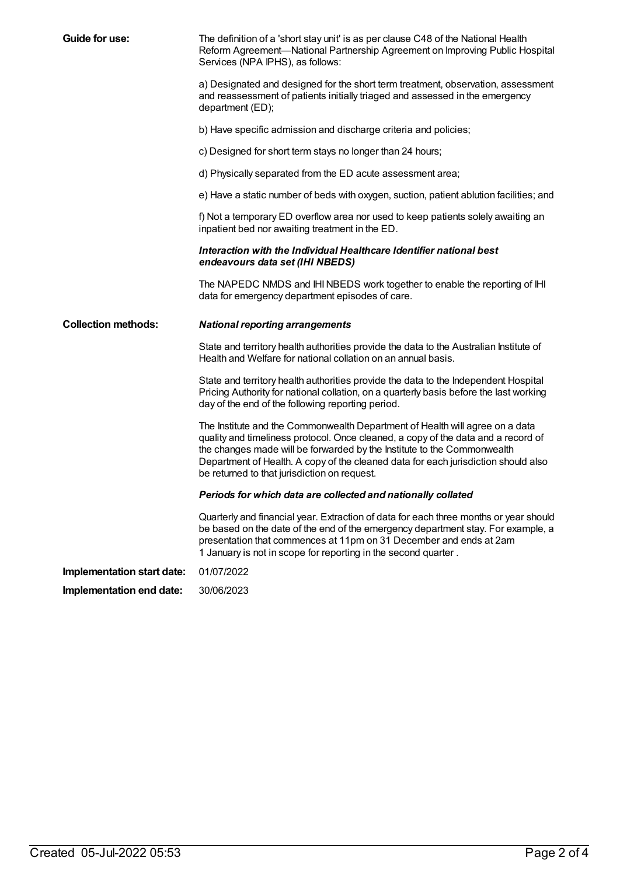| Guide for use:             | The definition of a 'short stay unit' is as per clause C48 of the National Health<br>Reform Agreement-National Partnership Agreement on Improving Public Hospital<br>Services (NPA IPHS), as follows:                                                                                                                                                                              |
|----------------------------|------------------------------------------------------------------------------------------------------------------------------------------------------------------------------------------------------------------------------------------------------------------------------------------------------------------------------------------------------------------------------------|
|                            | a) Designated and designed for the short term treatment, observation, assessment<br>and reassessment of patients initially triaged and assessed in the emergency<br>department (ED);                                                                                                                                                                                               |
|                            | b) Have specific admission and discharge criteria and policies;                                                                                                                                                                                                                                                                                                                    |
|                            | c) Designed for short term stays no longer than 24 hours;                                                                                                                                                                                                                                                                                                                          |
|                            | d) Physically separated from the ED acute assessment area;                                                                                                                                                                                                                                                                                                                         |
|                            | e) Have a static number of beds with oxygen, suction, patient ablution facilities; and                                                                                                                                                                                                                                                                                             |
|                            | f) Not a temporary ED overflow area nor used to keep patients solely awaiting an<br>inpatient bed nor awaiting treatment in the ED.                                                                                                                                                                                                                                                |
|                            | Interaction with the Individual Healthcare Identifier national best<br>endeavours data set (IHI NBEDS)                                                                                                                                                                                                                                                                             |
|                            | The NAPEDC NMDS and IHI NBEDS work together to enable the reporting of IHI<br>data for emergency department episodes of care.                                                                                                                                                                                                                                                      |
|                            |                                                                                                                                                                                                                                                                                                                                                                                    |
| <b>Collection methods:</b> | <b>National reporting arrangements</b>                                                                                                                                                                                                                                                                                                                                             |
|                            | State and territory health authorities provide the data to the Australian Institute of<br>Health and Welfare for national collation on an annual basis.                                                                                                                                                                                                                            |
|                            | State and territory health authorities provide the data to the Independent Hospital<br>Pricing Authority for national collation, on a quarterly basis before the last working<br>day of the end of the following reporting period.                                                                                                                                                 |
|                            | The Institute and the Commonwealth Department of Health will agree on a data<br>quality and timeliness protocol. Once cleaned, a copy of the data and a record of<br>the changes made will be forwarded by the Institute to the Commonwealth<br>Department of Health. A copy of the cleaned data for each jurisdiction should also<br>be returned to that jurisdiction on request. |
|                            | Periods for which data are collected and nationally collated                                                                                                                                                                                                                                                                                                                       |
|                            | Quarterly and financial year. Extraction of data for each three months or year should<br>be based on the date of the end of the emergency department stay. For example, a<br>presentation that commences at 11pm on 31 December and ends at 2am<br>1 January is not in scope for reporting in the second quarter.                                                                  |
| Implementation start date: | 01/07/2022                                                                                                                                                                                                                                                                                                                                                                         |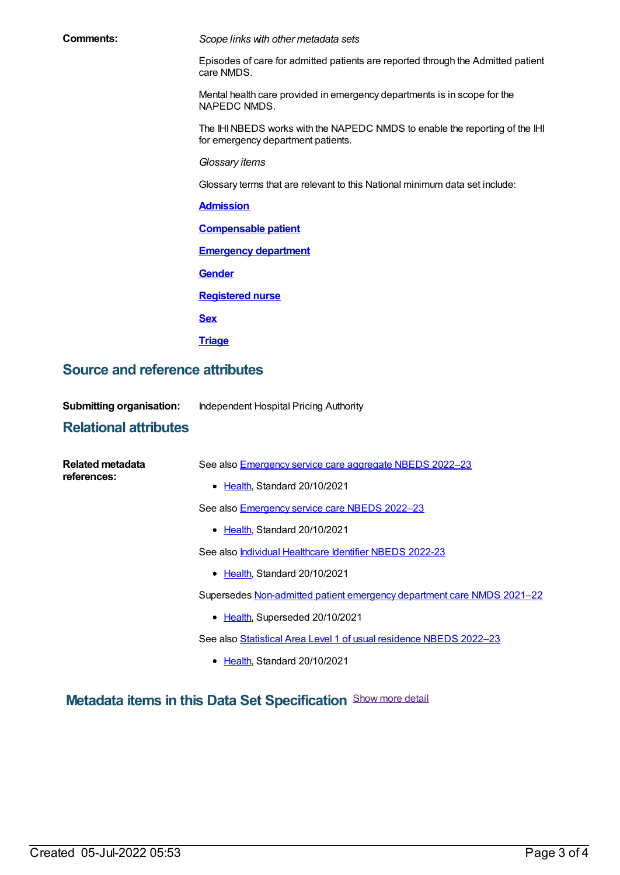**Comments:** *Scope links with other metadata sets*

Episodes of care for admitted patients are reported through the Admitted patient care NMDS.

Mental health care provided in emergency departments is in scope for the NAPEDC NMDS.

The IHINBEDS works with the NAPEDC NMDS to enable the reporting of the IHI for emergency department patients.

*Glossary items*

Glossary terms that are relevant to this National minimum data set include:

#### **[Admission](https://meteor.aihw.gov.au/content/327206)**

**[Compensable](https://meteor.aihw.gov.au/content/327420) patient**

**[Emergency](https://meteor.aihw.gov.au/content/745042) department**

**[Gender](https://meteor.aihw.gov.au/content/750032)**

**[Registered](https://meteor.aihw.gov.au/content/327182) nurse**

**[Sex](https://meteor.aihw.gov.au/content/750030)**

**[Triage](https://meteor.aihw.gov.au/content/745263)**

### **Source and reference attributes**

**Submitting organisation:** Independent Hospital Pricing Authority

### **Relational attributes**

| Related metadata<br>references: | See also Emergency service care aggregate NBEDS 2022-23                |
|---------------------------------|------------------------------------------------------------------------|
|                                 | • Health, Standard 20/10/2021                                          |
|                                 | See also Emergency service care NBEDS 2022-23                          |
|                                 | • Health, Standard 20/10/2021                                          |
|                                 | See also <i>Individual Healthcare Identifier NBEDS 2022-23</i>         |
|                                 | • Health, Standard 20/10/2021                                          |
|                                 | Supersedes Non-admitted patient emergency department care NMDS 2021-22 |
|                                 | • Health, Superseded 20/10/2021                                        |
|                                 | See also Statistical Area Level 1 of usual residence NBEDS 2022-23     |
|                                 | Health, Standard 20/10/2021<br>٠                                       |

**Metadata items in this Data Set Specification** Show more detail